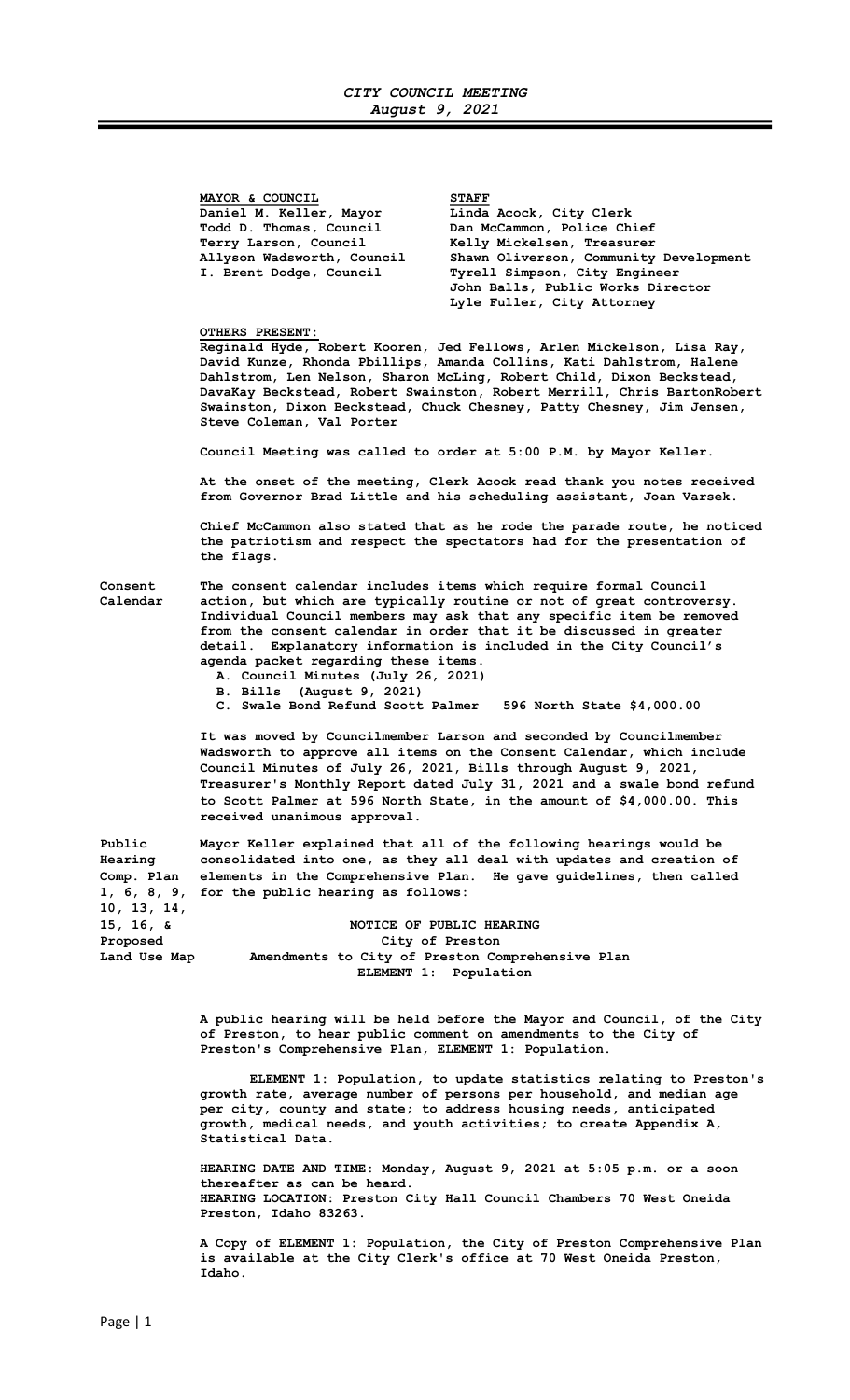MAYOR & COUNCIL<br>Daniel M. Keller, Mayor Linda Daniel M. Keller, Mayor Linda Acock, City Clerk<br>Todd D. Thomas, Council Dan McCammon, Police Ch.

 Todd D. Thomas, Council Dan McCammon, Police Chief Terry Larson, Council Melly Mickelsen, Treasurer<br>Allyson Wadsworth, Council Shawn Oliverson, Community Shawn Oliverson, Community Development I. Brent Dodge, Council Tyrell Simpson, City Engineer John Balls, Public Works Director Lyle Fuller, City Attorney

# OTHERS PRESENT:

Reginald Hyde, Robert Kooren, Jed Fellows, Arlen Mickelson, Lisa Ray, David Kunze, Rhonda Pbillips, Amanda Collins, Kati Dahlstrom, Halene Dahlstrom, Len Nelson, Sharon McLing, Robert Child, Dixon Beckstead, DavaKay Beckstead, Robert Swainston, Robert Merrill, Chris BartonRobert Swainston, Dixon Beckstead, Chuck Chesney, Patty Chesney, Jim Jensen, Steve Coleman, Val Porter

Council Meeting was called to order at 5:00 P.M. by Mayor Keller.

 At the onset of the meeting, Clerk Acock read thank you notes received from Governor Brad Little and his scheduling assistant, Joan Varsek.

Chief McCammon also stated that as he rode the parade route, he noticed the patriotism and respect the spectators had for the presentation of the flags.

Consent The consent calendar includes items which require formal Council Calendar action, but which are typically routine or not of great controversy. Individual Council members may ask that any specific item be removed from the consent calendar in order that it be discussed in greater detail. Explanatory information is included in the City Council's agenda packet regarding these items.

- A. Council Minutes (July 26, 2021)
- B. Bills (August 9, 2021)
- C. Swale Bond Refund Scott Palmer 596 North State \$4,000.00

It was moved by Councilmember Larson and seconded by Councilmember Wadsworth to approve all items on the Consent Calendar, which include Council Minutes of July 26, 2021, Bills through August 9, 2021, Treasurer's Monthly Report dated July 31, 2021 and a swale bond refund to Scott Palmer at 596 North State, in the amount of \$4,000.00. This received unanimous approval.

Public Mayor Keller explained that all of the following hearings would be Hearing consolidated into one, as they all deal with updates and creation of Comp. Plan elements in the Comprehensive Plan. He gave guidelines, then called 1, 6, 8, 9, for the public hearing as follows: 10, 13, 14, NOTICE OF PUBLIC HEARING

Proposed City of Preston Land Use Map Amendments to City of Preston Comprehensive Plan ELEMENT 1: Population

> A public hearing will be held before the Mayor and Council, of the City of Preston, to hear public comment on amendments to the City of Preston's Comprehensive Plan, ELEMENT 1: Population.

> ELEMENT 1: Population, to update statistics relating to Preston's growth rate, average number of persons per household, and median age per city, county and state; to address housing needs, anticipated growth, medical needs, and youth activities; to create Appendix A, Statistical Data.

HEARING DATE AND TIME: Monday, August 9, 2021 at 5:05 p.m. or a soon thereafter as can be heard. HEARING LOCATION: Preston City Hall Council Chambers 70 West Oneida Preston, Idaho 83263.

A Copy of ELEMENT 1: Population, the City of Preston Comprehensive Plan is available at the City Clerk's office at 70 West Oneida Preston, Idaho.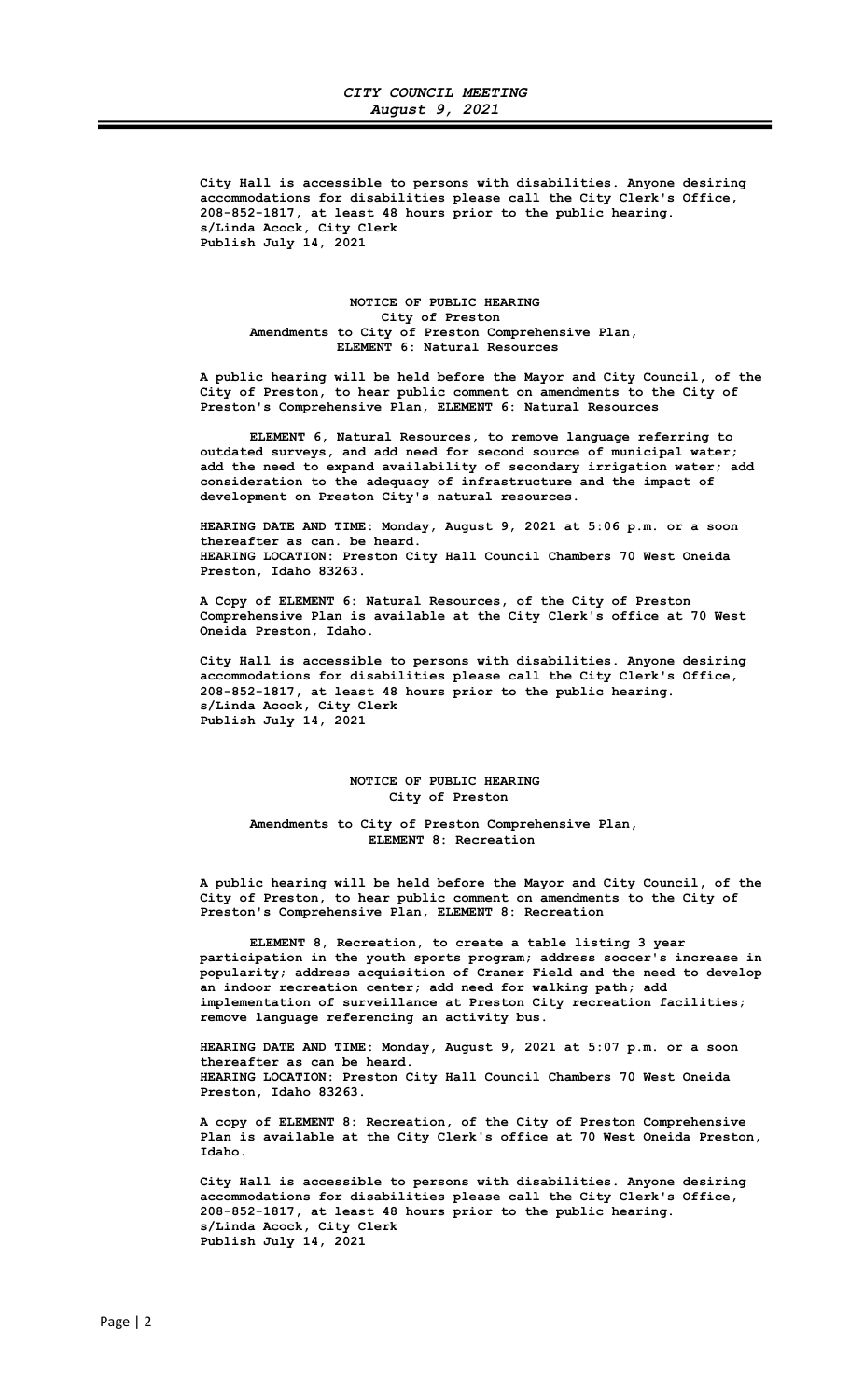City Hall is accessible to persons with disabilities. Anyone desiring accommodations for disabilities please call the City Clerk's Office, 208-852-1817, at least 48 hours prior to the public hearing. s/Linda Acock, City Clerk Publish July 14, 2021

### NOTICE OF PUBLIC HEARING City of Preston Amendments to City of Preston Comprehensive Plan, ELEMENT 6: Natural Resources

A public hearing will be held before the Mayor and City Council, of the City of Preston, to hear public comment on amendments to the City of Preston's Comprehensive Plan, ELEMENT 6: Natural Resources

ELEMENT 6, Natural Resources, to remove language referring to outdated surveys, and add need for second source of municipal water; add the need to expand availability of secondary irrigation water; add consideration to the adequacy of infrastructure and the impact of development on Preston City's natural resources.

HEARING DATE AND TIME: Monday, August 9, 2021 at 5:06 p.m. or a soon thereafter as can. be heard. HEARING LOCATION: Preston City Hall Council Chambers 70 West Oneida Preston, Idaho 83263.

A Copy of ELEMENT 6: Natural Resources, of the City of Preston Comprehensive Plan is available at the City Clerk's office at 70 West Oneida Preston, Idaho.

City Hall is accessible to persons with disabilities. Anyone desiring accommodations for disabilities please call the City Clerk's Office, 208-852-1817, at least 48 hours prior to the public hearing. s/Linda Acock, City Clerk Publish July 14, 2021

## NOTICE OF PUBLIC HEARING City of Preston

Amendments to City of Preston Comprehensive Plan, ELEMENT 8: Recreation

A public hearing will be held before the Mayor and City Council, of the City of Preston, to hear public comment on amendments to the City of Preston's Comprehensive Plan, ELEMENT 8: Recreation

ELEMENT 8, Recreation, to create a table listing 3 year participation in the youth sports program; address soccer's increase in popularity; address acquisition of Craner Field and the need to develop an indoor recreation center; add need for walking path; add implementation of surveillance at Preston City recreation facilities; remove language referencing an activity bus.

HEARING DATE AND TIME: Monday, August 9, 2021 at 5:07 p.m. or a soon thereafter as can be heard. HEARING LOCATION: Preston City Hall Council Chambers 70 West Oneida Preston, Idaho 83263.

A copy of ELEMENT 8: Recreation, of the City of Preston Comprehensive Plan is available at the City Clerk's office at 70 West Oneida Preston, Idaho.

City Hall is accessible to persons with disabilities. Anyone desiring accommodations for disabilities please call the City Clerk's Office, 208-852-1817, at least 48 hours prior to the public hearing. s/Linda Acock, City Clerk Publish July 14, 2021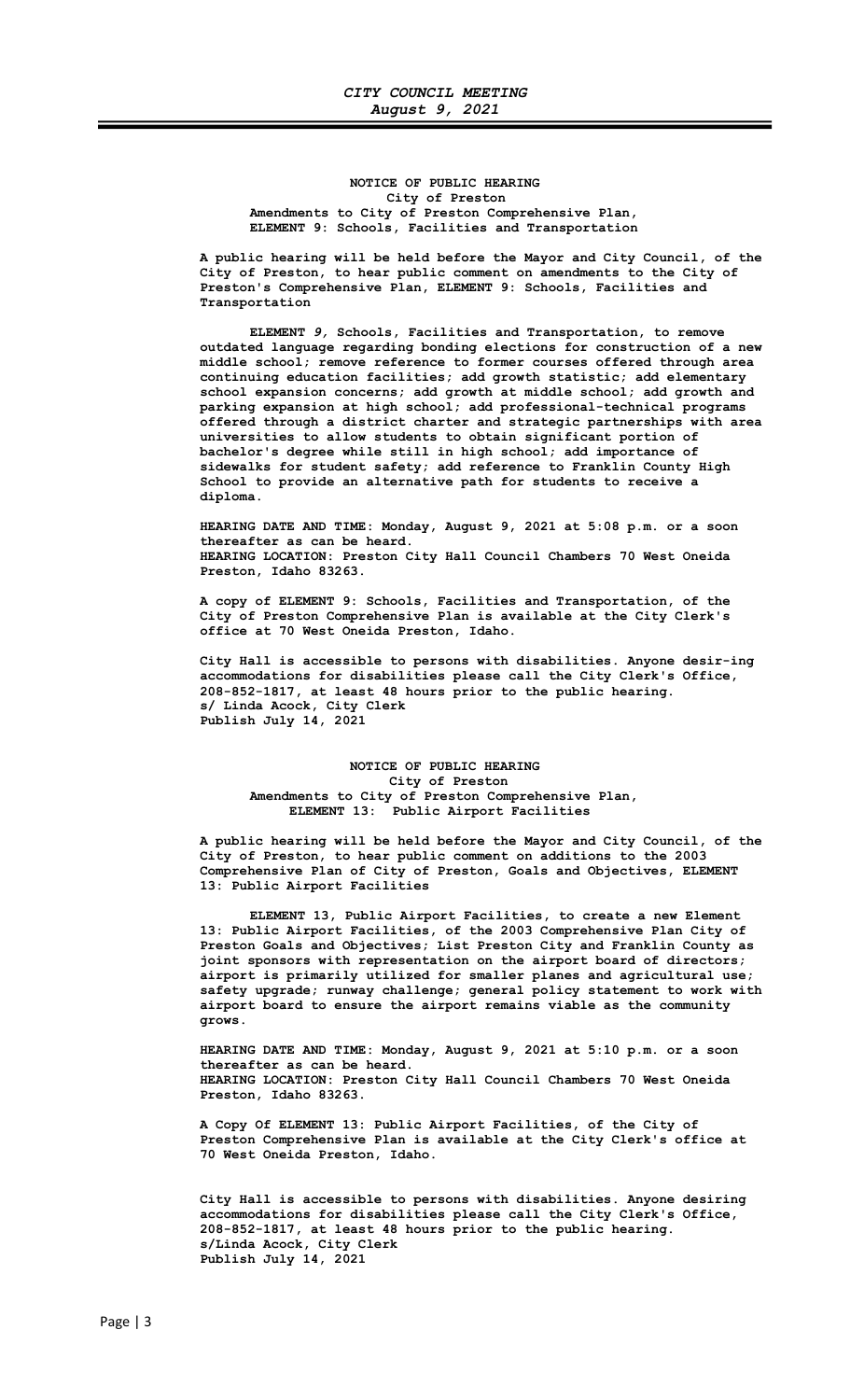## NOTICE OF PUBLIC HEARING City of Preston Amendments to City of Preston Comprehensive Plan, ELEMENT 9: Schools, Facilities and Transportation

A public hearing will be held before the Mayor and City Council, of the City of Preston, to hear public comment on amendments to the City of Preston's Comprehensive Plan, ELEMENT 9: Schools, Facilities and Transportation

ELEMENT 9, Schools, Facilities and Transportation, to remove outdated language regarding bonding elections for construction of a new middle school; remove reference to former courses offered through area continuing education facilities; add growth statistic; add elementary school expansion concerns; add growth at middle school; add growth and parking expansion at high school; add professional-technical programs offered through a district charter and strategic partnerships with area universities to allow students to obtain significant portion of bachelor's degree while still in high school; add importance of sidewalks for student safety; add reference to Franklin County High School to provide an alternative path for students to receive a diploma.

HEARING DATE AND TIME: Monday, August 9, 2021 at 5:08 p.m. or a soon thereafter as can be heard. HEARING LOCATION: Preston City Hall Council Chambers 70 West Oneida Preston, Idaho 83263.

A copy of ELEMENT 9: Schools, Facilities and Transportation, of the City of Preston Comprehensive Plan is available at the City Clerk's office at 70 West Oneida Preston, Idaho.

City Hall is accessible to persons with disabilities. Anyone desir-ing accommodations for disabilities please call the City Clerk's Office, 208-852-1817, at least 48 hours prior to the public hearing. s/ Linda Acock, City Clerk Publish July 14, 2021

## NOTICE OF PUBLIC HEARING City of Preston Amendments to City of Preston Comprehensive Plan, ELEMENT 13: Public Airport Facilities

A public hearing will be held before the Mayor and City Council, of the City of Preston, to hear public comment on additions to the 2003 Comprehensive Plan of City of Preston, Goals and Objectives, ELEMENT 13: Public Airport Facilities

ELEMENT 13, Public Airport Facilities, to create a new Element 13: Public Airport Facilities, of the 2003 Comprehensive Plan City of Preston Goals and Objectives; List Preston City and Franklin County as joint sponsors with representation on the airport board of directors; airport is primarily utilized for smaller planes and agricultural use; safety upgrade; runway challenge; general policy statement to work with airport board to ensure the airport remains viable as the community grows.

HEARING DATE AND TIME: Monday, August 9, 2021 at 5:10 p.m. or a soon thereafter as can be heard. HEARING LOCATION: Preston City Hall Council Chambers 70 West Oneida Preston, Idaho 83263.

A Copy Of ELEMENT 13: Public Airport Facilities, of the City of Preston Comprehensive Plan is available at the City Clerk's office at 70 West Oneida Preston, Idaho.

City Hall is accessible to persons with disabilities. Anyone desiring accommodations for disabilities please call the City Clerk's Office, 208-852-1817, at least 48 hours prior to the public hearing. s/Linda Acock, City Clerk Publish July 14, 2021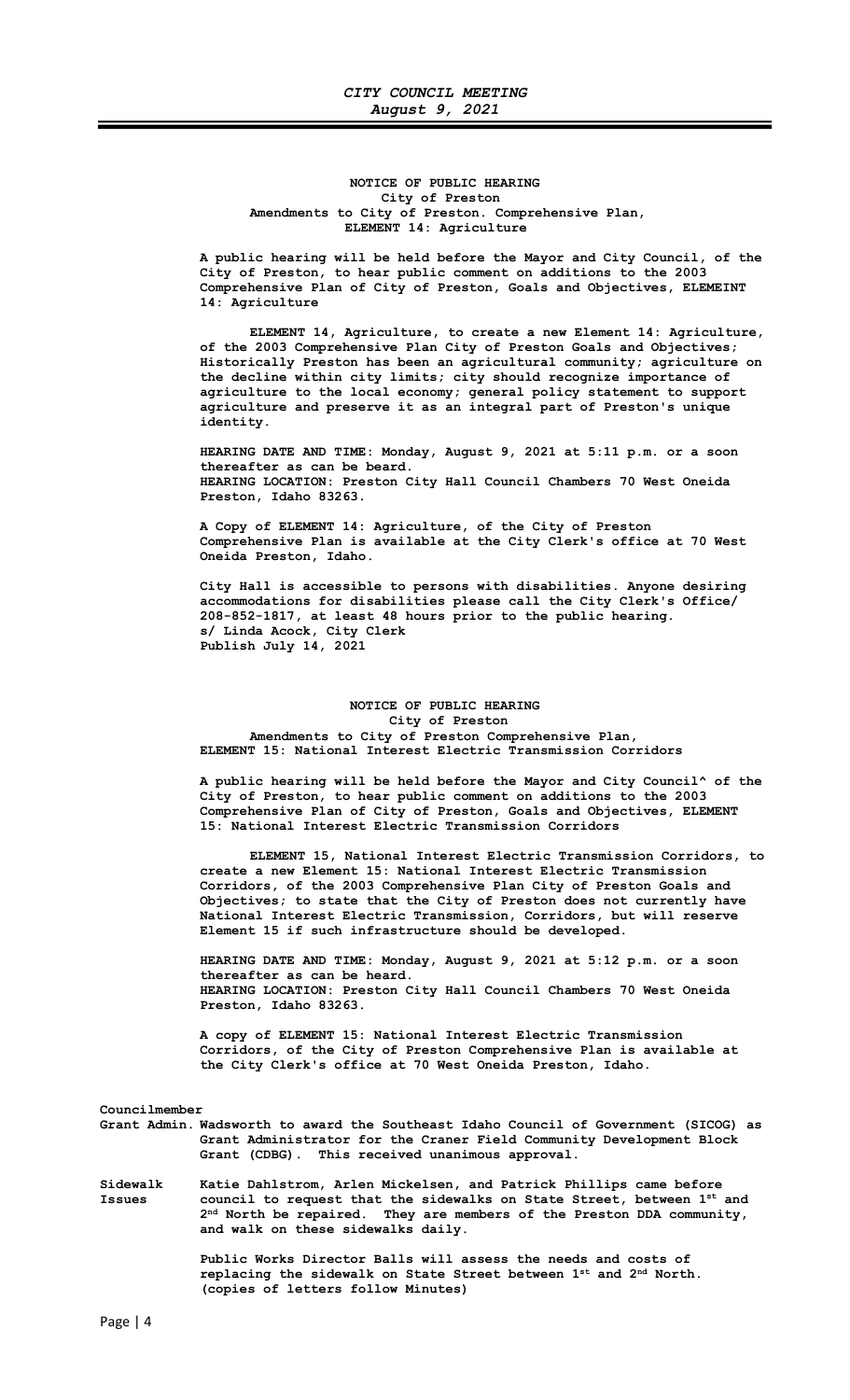## NOTICE OF PUBLIC HEARING City of Preston Amendments to City of Preston. Comprehensive Plan, ELEMENT 14: Agriculture

A public hearing will be held before the Mayor and City Council, of the City of Preston, to hear public comment on additions to the 2003 Comprehensive Plan of City of Preston, Goals and Objectives, ELEMEINT 14: Agriculture

ELEMENT 14, Agriculture, to create a new Element 14: Agriculture, of the 2003 Comprehensive Plan City of Preston Goals and Objectives; Historically Preston has been an agricultural community; agriculture on the decline within city limits; city should recognize importance of agriculture to the local economy; general policy statement to support agriculture and preserve it as an integral part of Preston's unique identity.

HEARING DATE AND TIME: Monday, August 9, 2021 at 5:11 p.m. or a soon thereafter as can be beard. HEARING LOCATION: Preston City Hall Council Chambers 70 West Oneida Preston, Idaho 83263.

A Copy of ELEMENT 14: Agriculture, of the City of Preston Comprehensive Plan is available at the City Clerk's office at 70 West Oneida Preston, Idaho.

City Hall is accessible to persons with disabilities. Anyone desiring accommodations for disabilities please call the City Clerk's Office/ 208-852-1817, at least 48 hours prior to the public hearing. s/ Linda Acock, City Clerk Publish July 14, 2021

## NOTICE OF PUBLIC HEARING City of Preston Amendments to City of Preston Comprehensive Plan, ELEMENT 15: National Interest Electric Transmission Corridors

A public hearing will be held before the Mayor and City Council^ of the City of Preston, to hear public comment on additions to the 2003 Comprehensive Plan of City of Preston, Goals and Objectives, ELEMENT 15: National Interest Electric Transmission Corridors

ELEMENT 15, National Interest Electric Transmission Corridors, to create a new Element 15: National Interest Electric Transmission Corridors, of the 2003 Comprehensive Plan City of Preston Goals and Objectives; to state that the City of Preston does not currently have National Interest Electric Transmission, Corridors, but will reserve Element 15 if such infrastructure should be developed.

HEARING DATE AND TIME: Monday, August 9, 2021 at 5:12 p.m. or a soon thereafter as can be heard. HEARING LOCATION: Preston City Hall Council Chambers 70 West Oneida Preston, Idaho 83263.

A copy of ELEMENT 15: National Interest Electric Transmission Corridors, of the City of Preston Comprehensive Plan is available at the City Clerk's office at 70 West Oneida Preston, Idaho.

Councilmember

Grant Admin. Wadsworth to award the Southeast Idaho Council of Government (SICOG) as Grant Administrator for the Craner Field Community Development Block Grant (CDBG). This received unanimous approval.

Sidewalk Katie Dahlstrom, Arlen Mickelsen, and Patrick Phillips came before<br>Issues council to request that the sidewalks on State Street, between 1<sup>st</sup> council to request that the sidewalks on State Street, between 1st and 2<sup>nd</sup> North be repaired. They are members of the Preston DDA community, and walk on these sidewalks daily.

> Public Works Director Balls will assess the needs and costs of replacing the sidewalk on State Street between 1st and 2<sup>nd</sup> North. (copies of letters follow Minutes)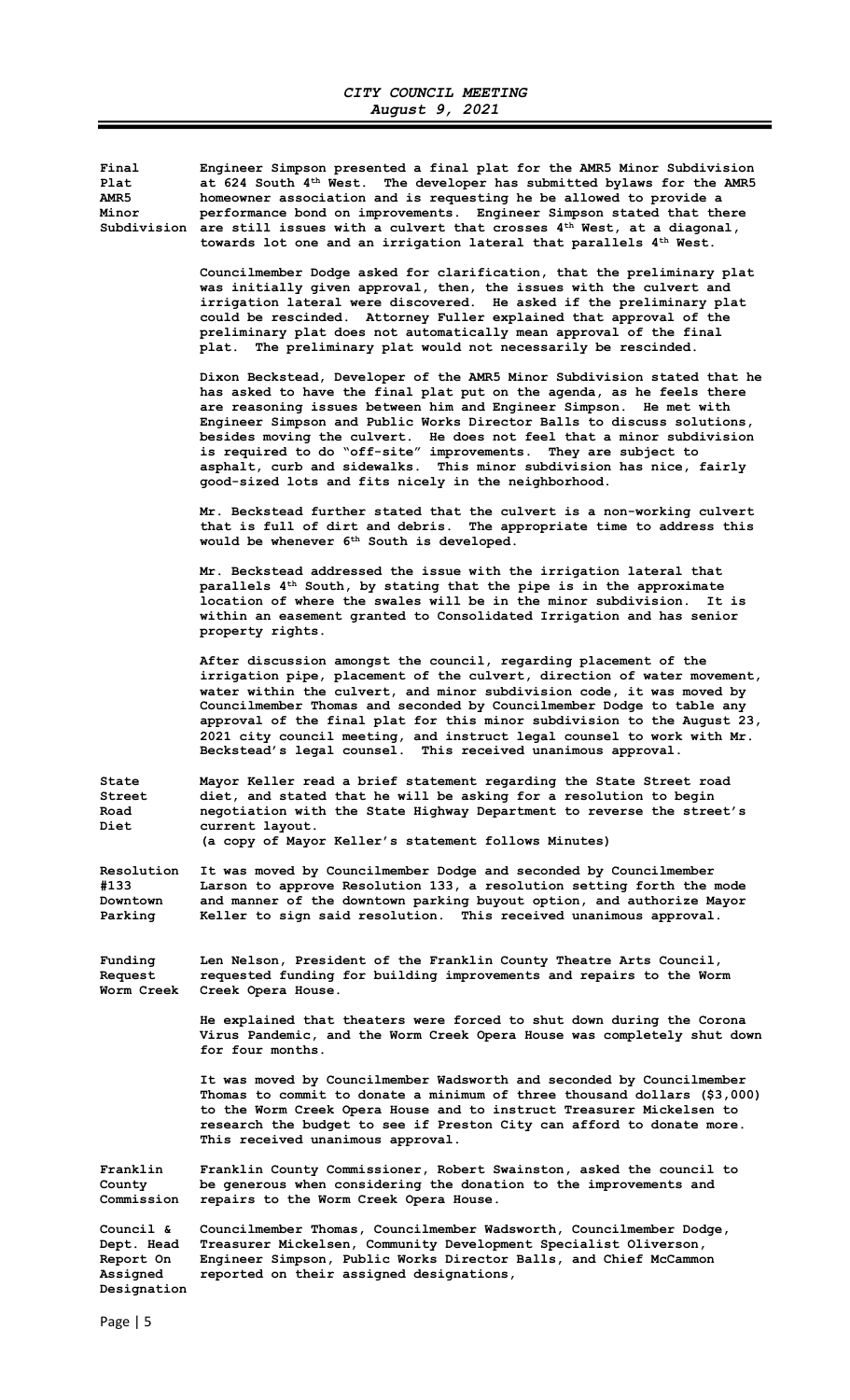Final Engineer Simpson presented a final plat for the AMR5 Minor Subdivision Plat at  $624$  South  $4<sup>th</sup>$  West. The developer has submitted bylaws for the AMR5<br>AMR5 homeowner association and is requesting he be allowed to provide a homeowner association and is requesting he be allowed to provide a Minor performance bond on improvements. Engineer Simpson stated that there Subdivision are still issues with a culvert that crosses  $4^{\text{th}}$  West, at a diagonal, towards lot one and an irrigation lateral that parallels 4<sup>th</sup> West. Councilmember Dodge asked for clarification, that the preliminary plat was initially given approval, then, the issues with the culvert and irrigation lateral were discovered. He asked if the preliminary plat could be rescinded. Attorney Fuller explained that approval of the preliminary plat does not automatically mean approval of the final plat. The preliminary plat would not necessarily be rescinded. Dixon Beckstead, Developer of the AMR5 Minor Subdivision stated that he has asked to have the final plat put on the agenda, as he feels there are reasoning issues between him and Engineer Simpson. He met with Engineer Simpson and Public Works Director Balls to discuss solutions, besides moving the culvert. He does not feel that a minor subdivision is required to do "off-site" improvements. They are subject to asphalt, curb and sidewalks. This minor subdivision has nice, fairly good-sized lots and fits nicely in the neighborhood. Mr. Beckstead further stated that the culvert is a non-working culvert that is full of dirt and debris. The appropriate time to address this would be whenever 6<sup>th</sup> South is developed. Mr. Beckstead addressed the issue with the irrigation lateral that parallels 4<sup>th</sup> South, by stating that the pipe is in the approximate location of where the swales will be in the minor subdivision. It is within an easement granted to Consolidated Irrigation and has senior property rights. After discussion amongst the council, regarding placement of the irrigation pipe, placement of the culvert, direction of water movement, water within the culvert, and minor subdivision code, it was moved by Councilmember Thomas and seconded by Councilmember Dodge to table any approval of the final plat for this minor subdivision to the August 23, 2021 city council meeting, and instruct legal counsel to work with Mr. Beckstead's legal counsel. This received unanimous approval. State Mayor Keller read a brief statement regarding the State Street road Street diet, and stated that he will be asking for a resolution to begin<br>Road a pegotiation with the State Highway Department to reverse the stree negotiation with the State Highway Department to reverse the street's Diet current layout. (a copy of Mayor Keller's statement follows Minutes) Resolution It was moved by Councilmember Dodge and seconded by Councilmember #133 Larson to approve Resolution 133, a resolution setting forth the mode Downtown and manner of the downtown parking buyout option, and authorize Mayor<br>Parking Keller to sign said resolution. This received unanimous approval. Keller to sign said resolution. This received unanimous approval. Funding Len Nelson, President of the Franklin County Theatre Arts Council, Request requested funding for building improvements and repairs to the Worm<br>Worm Creek Creek Opera House. Creek Opera House. He explained that theaters were forced to shut down during the Corona Virus Pandemic, and the Worm Creek Opera House was completely shut down for four months. It was moved by Councilmember Wadsworth and seconded by Councilmember Thomas to commit to donate a minimum of three thousand dollars (\$3,000) to the Worm Creek Opera House and to instruct Treasurer Mickelsen to research the budget to see if Preston City can afford to donate more. This received unanimous approval. Franklin Franklin County Commissioner, Robert Swainston, asked the council to County be generous when considering the donation to the improvements and Commission repairs to the Worm Creek Opera House. Council & Councilmember Thomas, Councilmember Wadsworth, Councilmember Dodge, Dept. Head Treasurer Mickelsen, Community Development Specialist Oliverson, Report On Engineer Simpson, Public Works Director Balls, and Chief McCammon<br>Assigned ereported on their assigned designations, reported on their assigned designations, Designation